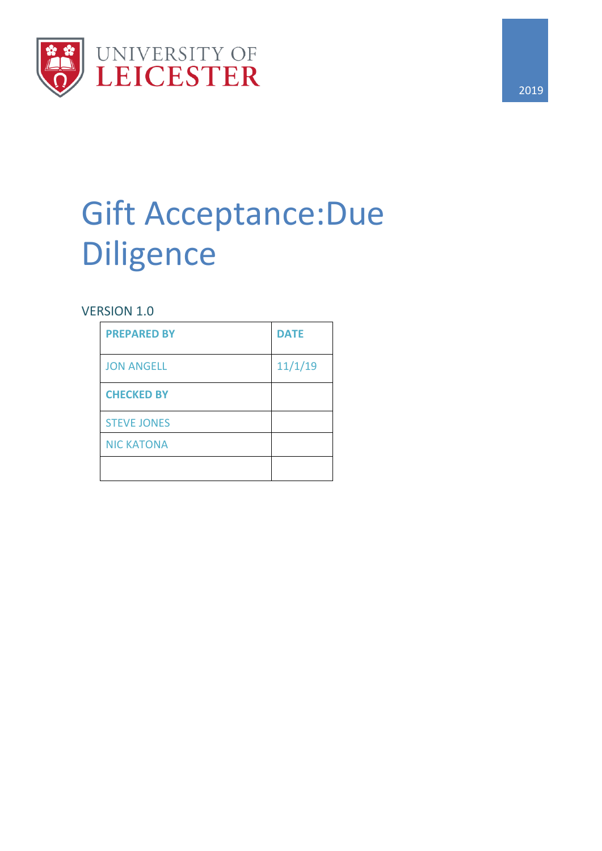

# Gift Acceptance:Due Diligence

## VERSION 1.0

| <b>PREPARED BY</b> | <b>DATE</b> |
|--------------------|-------------|
| <b>JON ANGELL</b>  | 11/1/19     |
| <b>CHECKED BY</b>  |             |
| <b>STEVE JONES</b> |             |
| <b>NIC KATONA</b>  |             |
|                    |             |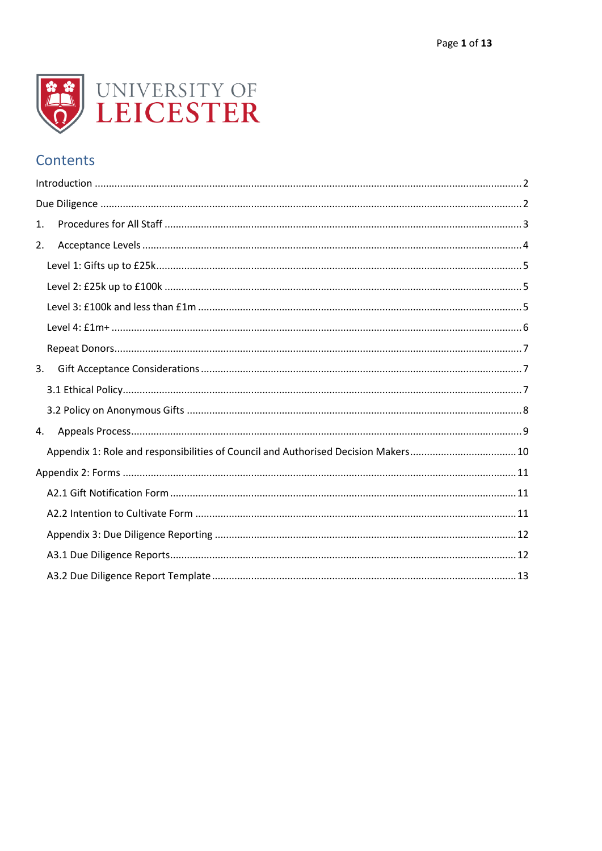

## Contents

| 1. |                                                                                   |
|----|-----------------------------------------------------------------------------------|
| 2. |                                                                                   |
|    |                                                                                   |
|    |                                                                                   |
|    |                                                                                   |
|    |                                                                                   |
|    |                                                                                   |
| 3. |                                                                                   |
|    |                                                                                   |
|    |                                                                                   |
| 4. |                                                                                   |
|    | Appendix 1: Role and responsibilities of Council and Authorised Decision Makers10 |
|    |                                                                                   |
|    |                                                                                   |
|    |                                                                                   |
|    |                                                                                   |
|    |                                                                                   |
|    |                                                                                   |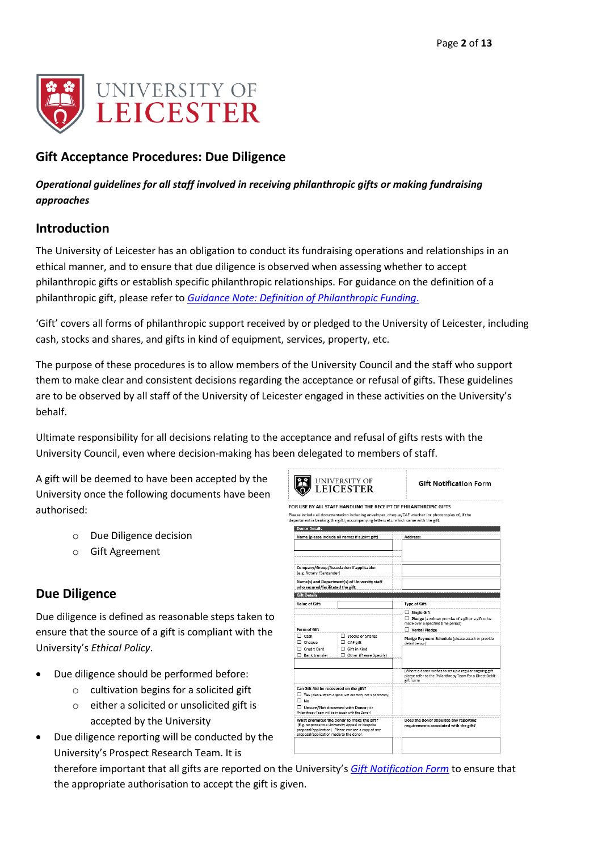

## **Gift Acceptance Procedures: Due Diligence**

#### *Operational guidelines for all staff involved in receiving philanthropic gifts or making fundraising approaches*

## <span id="page-2-0"></span>**Introduction**

The University of Leicester has an obligation to conduct its fundraising operations and relationships in an ethical manner, and to ensure that due diligence is observed when assessing whether to accept philanthropic gifts or establish specific philanthropic relationships. For guidance on the definition of a philanthropic gift, please refer to *[Guidance Note: Definition of Philanthropic Funding](http://www2.le.ac.uk/offices/alumni/forms-and-guides/definition-of-philanthropic-funds)*.

'Gift' covers all forms of philanthropic support received by or pledged to the University of Leicester, including cash, stocks and shares, and gifts in kind of equipment, services, property, etc.

The purpose of these procedures is to allow members of the University Council and the staff who support them to make clear and consistent decisions regarding the acceptance or refusal of gifts. These guidelines are to be observed by all staff of the University of Leicester engaged in these activities on the University's behalf.

Ultimate responsibility for all decisions relating to the acceptance and refusal of gifts rests with the University Council, even where decision-making has been delegated to members of staff.

A gift will be deemed to have been accepted by the University once the following documents have been authorised:

- o Due Diligence decision
- o Gift Agreement

## <span id="page-2-1"></span>**Due Diligence**

Due diligence is defined as reasonable steps taken to ensure that the source of a gift is compliant with the University's *Ethical Policy*.

- Due diligence should be performed before:
	- o cultivation begins for a solicited gift
	- o either a solicited or unsolicited gift is accepted by the University
- Due diligence reporting will be conducted by the University's Prospect Research Team. It is

therefore important that all gifts are reported on the University's *Gift [Notification Form](#page-11-1)* to ensure that the appropriate authorisation to accept the gift is given.

|                                                                                                                                                                                                 | OR USE BY ALL STAFF HANDLING THE RECEIPT OF PHILANTHROPIC GIFTS<br>epartment is banking the gift), accompanying letters etc. which came with the gift. | lease include all documentation including envelopes, cheque/CAF voucher (or photocopies of, if the                                                                                                            |
|-------------------------------------------------------------------------------------------------------------------------------------------------------------------------------------------------|--------------------------------------------------------------------------------------------------------------------------------------------------------|---------------------------------------------------------------------------------------------------------------------------------------------------------------------------------------------------------------|
| <b>Donor Details</b><br>Name (please include all names if a joint gift)                                                                                                                         |                                                                                                                                                        | Address:                                                                                                                                                                                                      |
| Company/Group/Association if applicable:<br>(e.g. Rotary /Santander)                                                                                                                            |                                                                                                                                                        |                                                                                                                                                                                                               |
| Name(s) and Department(s) of University staff<br>who secured/facilitated the gift:                                                                                                              |                                                                                                                                                        |                                                                                                                                                                                                               |
| <b>Gift Details</b>                                                                                                                                                                             |                                                                                                                                                        |                                                                                                                                                                                                               |
| Value of Gift:                                                                                                                                                                                  |                                                                                                                                                        | <b>Type of Gift:</b>                                                                                                                                                                                          |
| Form of Gift<br>$\Box$ Cash<br>$\Box$ Cheque<br>Credit Card<br>$\Box$ Bank transfer                                                                                                             | Stocks or Shares<br>$\Box$ CAF gift<br>$\Box$ Gift in Kind<br>Other (Please Specify)                                                                   | $\Box$ Single Gift<br>$\Box$ Pledge (a written promise of a gift or a gift to be<br>made over a specified time period)<br>Verbal Pledge<br>Pledge Payment Schedule (please attach or provide<br>detail below) |
|                                                                                                                                                                                                 |                                                                                                                                                        | (Where a donor wishes to set up a regular ongoing gift<br>please refer to the Philanthropy Team for a Direct Debit<br>gift form)                                                                              |
| Can Gift Aid be recovered on the gift?<br>$\Box$ No<br>$\Box$ Unsure/Not discussed with Donor (the<br>Philanthropy Team will be in touch with the Donor)                                        | Yes (please attach original Gift Aid form, not a photocopy)                                                                                            |                                                                                                                                                                                                               |
| What prompted the donor to make the gift?<br>(E.g. response to a University Appeal or bespoke<br>proposal/application). Please enclose a copy of any<br>proposal/application made to the donor. |                                                                                                                                                        | Does the donor stipulate any reporting<br>requirements associated with the gift?                                                                                                                              |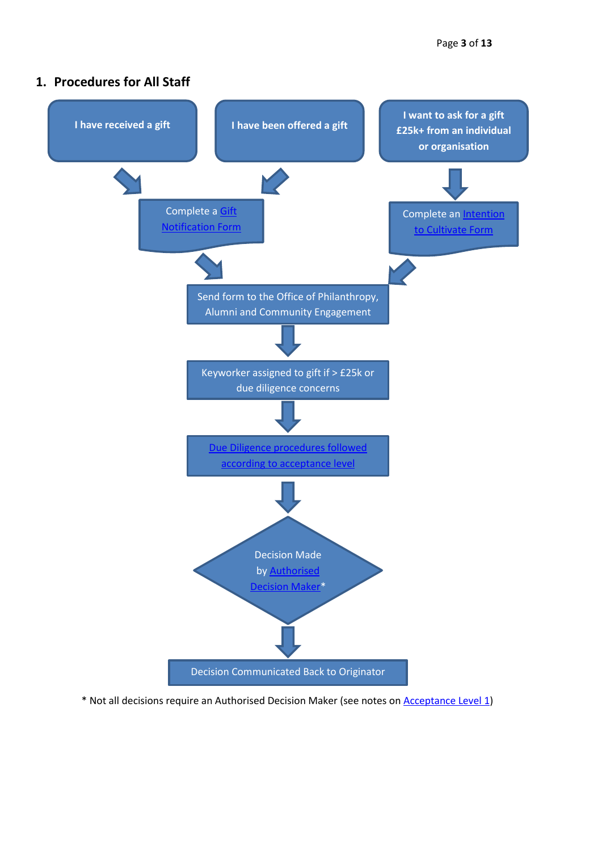#### <span id="page-3-0"></span>**1. Procedures for All Staff**



\* Not all decisions require an Authorised Decision Maker (see notes on [Acceptance Level 1\)](#page-4-1)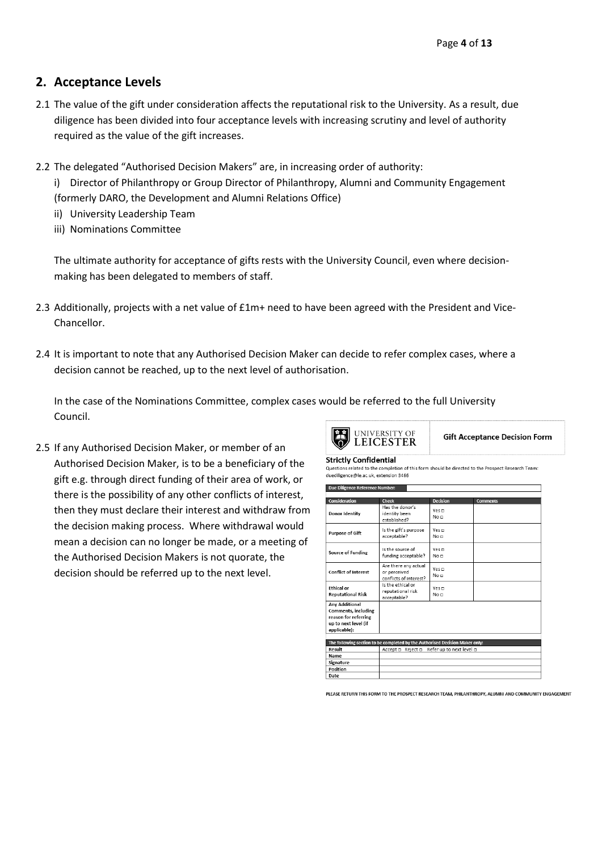## <span id="page-4-0"></span>**2. Acceptance Levels**

- 2.1 The value of the gift under consideration affects the reputational risk to the University. As a result, due diligence has been divided into four acceptance levels with increasing scrutiny and level of authority required as the value of the gift increases.
- 2.2 The delegated "Authorised Decision Makers" are, in increasing order of authority:

i) Director of Philanthropy or Group Director of Philanthropy, Alumni and Community Engagement (formerly DARO, the Development and Alumni Relations Office)

- ii) University Leadership Team
- iii) Nominations Committee

The ultimate authority for acceptance of gifts rests with the University Council, even where decisionmaking has been delegated to members of staff.

- 2.3 Additionally, projects with a net value of £1m+ need to have been agreed with the President and Vice-Chancellor.
- 2.4 It is important to note that any Authorised Decision Maker can decide to refer complex cases, where a decision cannot be reached, up to the next level of authorisation.

In the case of the Nominations Committee, complex cases would be referred to the full University Council.

<span id="page-4-1"></span>2.5 If any Authorised Decision Maker, or member of an Authorised Decision Maker, is to be a beneficiary of the gift e.g. through direct funding of their area of work, or there is the possibility of any other conflicts of interest, then they must declare their interest and withdraw from the decision making process. Where withdrawal would mean a decision can no longer be made, or a meeting of the Authorised Decision Makers is not quorate, the decision should be referred up to the next level.

|  | UNIVERSITY OF LEICESTER |
|--|-------------------------|
|--|-------------------------|

**Gift Acceptance Decision Form** 

**Strictly Confidential** 

Questions related to the completion of this form should be directed to the Prospect Research Team duediligence@le.ac.uk. extension 3466

| Due Diligence Reference Number:                                                                              |                                                                              |                                         |                 |
|--------------------------------------------------------------------------------------------------------------|------------------------------------------------------------------------------|-----------------------------------------|-----------------|
|                                                                                                              |                                                                              |                                         |                 |
| Consideration<br><b>Donor Identity</b>                                                                       | <b>Check</b><br>Has the donor's<br>identity been<br>established?             | <b>Decision</b><br>Yes <b>m</b><br>No m | <b>Comments</b> |
| <b>Purpose of Gift</b>                                                                                       | Is the gift's purpose<br>acceptable?                                         | Yes m<br>No n                           |                 |
| Source of Funding                                                                                            | Is the source of<br>funding acceptable?                                      | Yes $\Box$<br>No n                      |                 |
| <b>Conflict of Interest</b>                                                                                  | Are there any actual<br>or perceived<br>conflicts of interest?               | Yes m<br>No o                           |                 |
| <b>Ethical or</b><br><b>Reputational Risk</b>                                                                | Is the ethical or<br>reputational risk<br>acceptable?                        | Yes m<br>No n                           |                 |
| <b>Any Additional</b><br>Comments, including<br>reason for referring<br>up to next level (if<br>applicable): |                                                                              |                                         |                 |
|                                                                                                              |                                                                              |                                         |                 |
|                                                                                                              | The following section to be completed by the Authorised Decision Maker only: |                                         |                 |
| Result<br>Name                                                                                               | Accept □ Reject □                                                            | Refer up to next level a                |                 |
| Signature                                                                                                    |                                                                              |                                         |                 |
| Position                                                                                                     |                                                                              |                                         |                 |
| $D = A$                                                                                                      |                                                                              |                                         |                 |

PLEASE RETURN THIS FORM TO THE PROSPECT RESEARCH TEAM. PHILANTHROPY. ALUMNI AND COMMUNITY ENGAGEMENT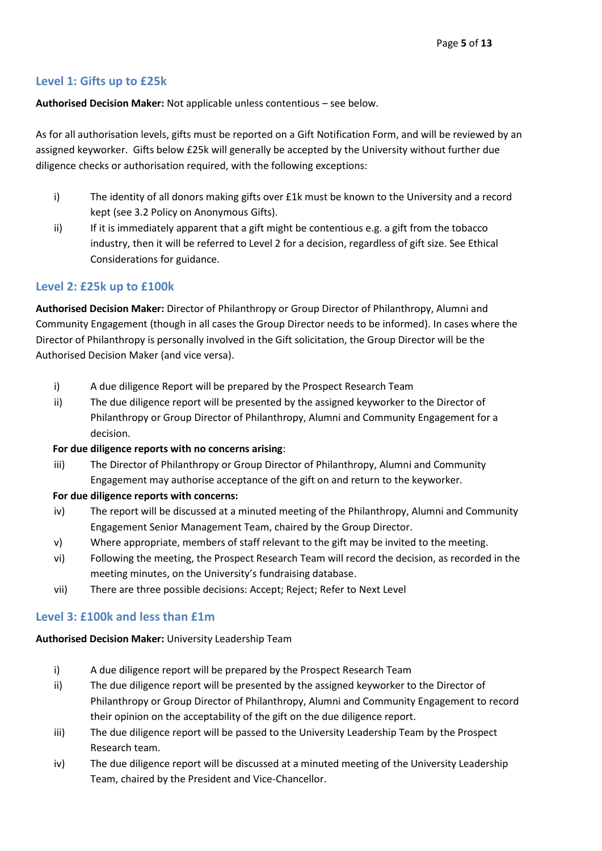#### <span id="page-5-0"></span>**Level 1: Gifts up to £25k**

**Authorised Decision Maker:** Not applicable unless contentious – see below.

As for all authorisation levels, gifts must be reported on a Gift Notification Form, and will be reviewed by an assigned keyworker. Gifts below £25k will generally be accepted by the University without further due diligence checks or authorisation required, with the following exceptions:

- i) The identity of all donors making gifts over £1k must be known to the University and a record kept (see 3.2 Policy on Anonymous Gifts).
- ii) If it is immediately apparent that a gift might be contentious e.g. a gift from the tobacco industry, then it will be referred to Level 2 for a decision, regardless of gift size. See Ethical Considerations for guidance.

#### <span id="page-5-1"></span>**Level 2: £25k up to £100k**

**Authorised Decision Maker:** Director of Philanthropy or Group Director of Philanthropy, Alumni and Community Engagement (though in all cases the Group Director needs to be informed). In cases where the Director of Philanthropy is personally involved in the Gift solicitation, the Group Director will be the Authorised Decision Maker (and vice versa).

- i) A due diligence Report will be prepared by the Prospect Research Team
- ii) The due diligence report will be presented by the assigned keyworker to the Director of Philanthropy or Group Director of Philanthropy, Alumni and Community Engagement for a decision.

#### **For due diligence reports with no concerns arising**:

iii) The Director of Philanthropy or Group Director of Philanthropy, Alumni and Community Engagement may authorise acceptance of the gift on and return to the keyworker.

#### **For due diligence reports with concerns:**

- iv) The report will be discussed at a minuted meeting of the Philanthropy, Alumni and Community Engagement Senior Management Team, chaired by the Group Director.
- v) Where appropriate, members of staff relevant to the gift may be invited to the meeting.
- vi) Following the meeting, the Prospect Research Team will record the decision, as recorded in the meeting minutes, on the University's fundraising database.
- vii) There are three possible decisions: Accept; Reject; Refer to Next Level

#### <span id="page-5-2"></span>**Level 3: £100k and less than £1m**

**Authorised Decision Maker:** University Leadership Team

- i) A due diligence report will be prepared by the Prospect Research Team
- ii) The due diligence report will be presented by the assigned keyworker to the Director of Philanthropy or Group Director of Philanthropy, Alumni and Community Engagement to record their opinion on the acceptability of the gift on the due diligence report.
- iii) The due diligence report will be passed to the University Leadership Team by the Prospect Research team.
- iv) The due diligence report will be discussed at a minuted meeting of the University Leadership Team, chaired by the President and Vice-Chancellor.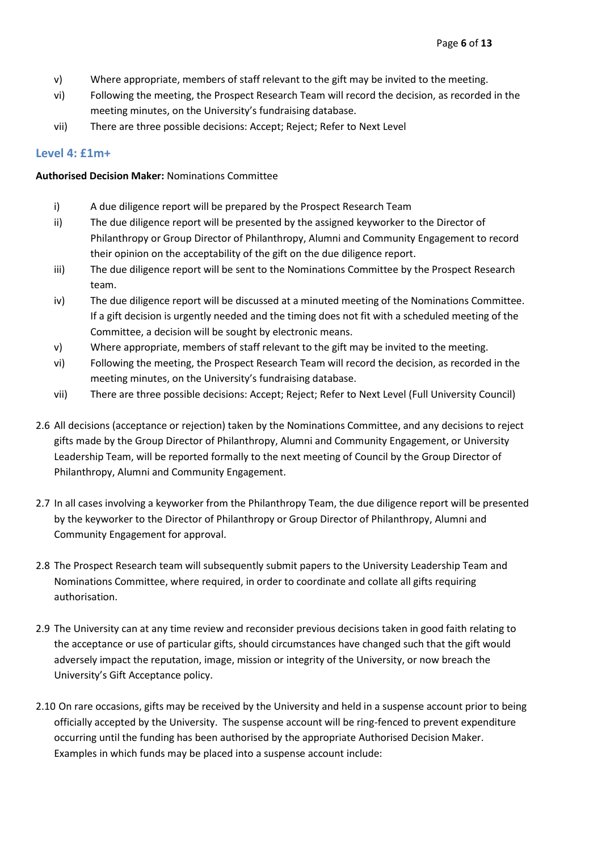- v) Where appropriate, members of staff relevant to the gift may be invited to the meeting.
- vi) Following the meeting, the Prospect Research Team will record the decision, as recorded in the meeting minutes, on the University's fundraising database.
- vii) There are three possible decisions: Accept; Reject; Refer to Next Level

#### <span id="page-6-0"></span>**Level 4: £1m+**

#### **Authorised Decision Maker:** Nominations Committee

- i) A due diligence report will be prepared by the Prospect Research Team
- ii) The due diligence report will be presented by the assigned keyworker to the Director of Philanthropy or Group Director of Philanthropy, Alumni and Community Engagement to record their opinion on the acceptability of the gift on the due diligence report.
- iii) The due diligence report will be sent to the Nominations Committee by the Prospect Research team.
- iv) The due diligence report will be discussed at a minuted meeting of the Nominations Committee. If a gift decision is urgently needed and the timing does not fit with a scheduled meeting of the Committee, a decision will be sought by electronic means.
- v) Where appropriate, members of staff relevant to the gift may be invited to the meeting.
- vi) Following the meeting, the Prospect Research Team will record the decision, as recorded in the meeting minutes, on the University's fundraising database.
- vii) There are three possible decisions: Accept; Reject; Refer to Next Level (Full University Council)
- 2.6 All decisions (acceptance or rejection) taken by the Nominations Committee, and any decisions to reject gifts made by the Group Director of Philanthropy, Alumni and Community Engagement, or University Leadership Team, will be reported formally to the next meeting of Council by the Group Director of Philanthropy, Alumni and Community Engagement.
- 2.7 In all cases involving a keyworker from the Philanthropy Team, the due diligence report will be presented by the keyworker to the Director of Philanthropy or Group Director of Philanthropy, Alumni and Community Engagement for approval.
- 2.8 The Prospect Research team will subsequently submit papers to the University Leadership Team and Nominations Committee, where required, in order to coordinate and collate all gifts requiring authorisation.
- 2.9 The University can at any time review and reconsider previous decisions taken in good faith relating to the acceptance or use of particular gifts, should circumstances have changed such that the gift would adversely impact the reputation, image, mission or integrity of the University, or now breach the University's Gift Acceptance policy.
- 2.10 On rare occasions, gifts may be received by the University and held in a suspense account prior to being officially accepted by the University. The suspense account will be ring-fenced to prevent expenditure occurring until the funding has been authorised by the appropriate Authorised Decision Maker. Examples in which funds may be placed into a suspense account include: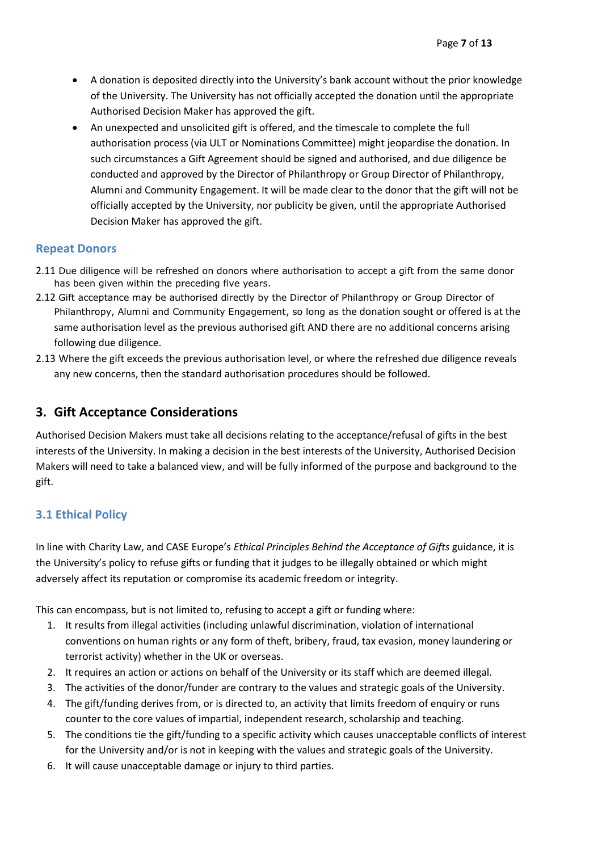- A donation is deposited directly into the University's bank account without the prior knowledge of the University. The University has not officially accepted the donation until the appropriate Authorised Decision Maker has approved the gift.
- An unexpected and unsolicited gift is offered, and the timescale to complete the full authorisation process (via ULT or Nominations Committee) might jeopardise the donation. In such circumstances a Gift Agreement should be signed and authorised, and due diligence be conducted and approved by the Director of Philanthropy or Group Director of Philanthropy, Alumni and Community Engagement. It will be made clear to the donor that the gift will not be officially accepted by the University, nor publicity be given, until the appropriate Authorised Decision Maker has approved the gift.

#### <span id="page-7-0"></span>**Repeat Donors**

- 2.11 Due diligence will be refreshed on donors where authorisation to accept a gift from the same donor has been given within the preceding five years.
- 2.12 Gift acceptance may be authorised directly by the Director of Philanthropy or Group Director of Philanthropy, Alumni and Community Engagement, so long as the donation sought or offered is at the same authorisation level as the previous authorised gift AND there are no additional concerns arising following due diligence.
- 2.13 Where the gift exceeds the previous authorisation level, or where the refreshed due diligence reveals any new concerns, then the standard authorisation procedures should be followed.

## <span id="page-7-1"></span>**3. Gift Acceptance Considerations**

Authorised Decision Makers must take all decisions relating to the acceptance/refusal of gifts in the best interests of the University. In making a decision in the best interests of the University, Authorised Decision Makers will need to take a balanced view, and will be fully informed of the purpose and background to the gift.

## <span id="page-7-2"></span>**3.1 Ethical Policy**

In line with Charity Law, and CASE Europe's *Ethical Principles Behind the Acceptance of Gifts* guidance, it is the University's policy to refuse gifts or funding that it judges to be illegally obtained or which might adversely affect its reputation or compromise its academic freedom or integrity.

This can encompass, but is not limited to, refusing to accept a gift or funding where:

- 1. It results from illegal activities (including unlawful discrimination, violation of international conventions on human rights or any form of theft, bribery, fraud, tax evasion, money laundering or terrorist activity) whether in the UK or overseas.
- 2. It requires an action or actions on behalf of the University or its staff which are deemed illegal.
- 3. The activities of the donor/funder are contrary to the values and strategic goals of the University.
- 4. The gift/funding derives from, or is directed to, an activity that limits freedom of enquiry or runs counter to the core values of impartial, independent research, scholarship and teaching.
- 5. The conditions tie the gift/funding to a specific activity which causes unacceptable conflicts of interest for the University and/or is not in keeping with the values and strategic goals of the University.
- 6. It will cause unacceptable damage or injury to third parties.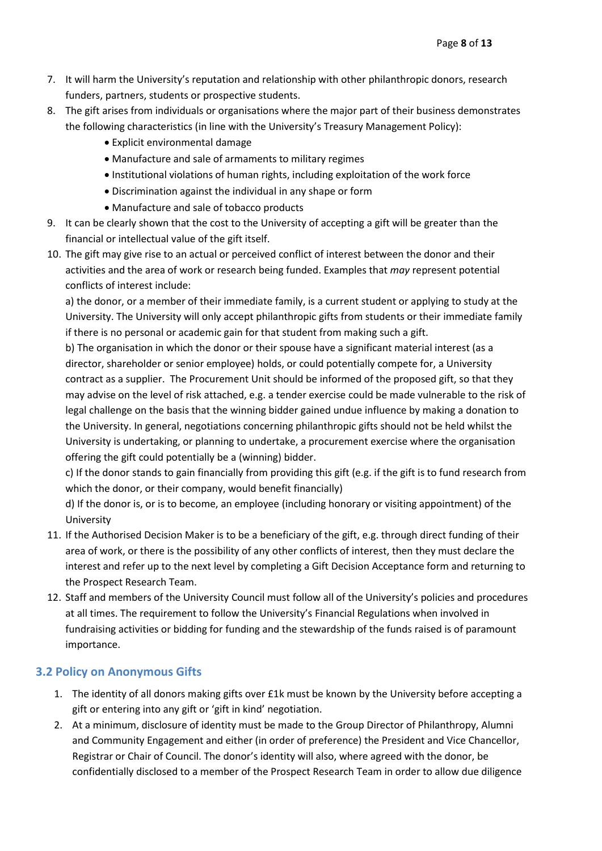- 7. It will harm the University's reputation and relationship with other philanthropic donors, research funders, partners, students or prospective students.
- 8. The gift arises from individuals or organisations where the major part of their business demonstrates the following characteristics (in line with the University's Treasury Management Policy):
	- Explicit environmental damage
	- Manufacture and sale of armaments to military regimes
	- Institutional violations of human rights, including exploitation of the work force
	- Discrimination against the individual in any shape or form
	- Manufacture and sale of tobacco products
- 9. It can be clearly shown that the cost to the University of accepting a gift will be greater than the financial or intellectual value of the gift itself.
- 10. The gift may give rise to an actual or perceived conflict of interest between the donor and their activities and the area of work or research being funded. Examples that *may* represent potential conflicts of interest include:

a) the donor, or a member of their immediate family, is a current student or applying to study at the University. The University will only accept philanthropic gifts from students or their immediate family if there is no personal or academic gain for that student from making such a gift.

b) The organisation in which the donor or their spouse have a significant material interest (as a director, shareholder or senior employee) holds, or could potentially compete for, a University contract as a supplier. The Procurement Unit should be informed of the proposed gift, so that they may advise on the level of risk attached, e.g. a tender exercise could be made vulnerable to the risk of legal challenge on the basis that the winning bidder gained undue influence by making a donation to the University. In general, negotiations concerning philanthropic gifts should not be held whilst the University is undertaking, or planning to undertake, a procurement exercise where the organisation offering the gift could potentially be a (winning) bidder.

c) If the donor stands to gain financially from providing this gift (e.g. if the gift is to fund research from which the donor, or their company, would benefit financially)

d) If the donor is, or is to become, an employee (including honorary or visiting appointment) of the University

- 11. If the Authorised Decision Maker is to be a beneficiary of the gift, e.g. through direct funding of their area of work, or there is the possibility of any other conflicts of interest, then they must declare the interest and refer up to the next level by completing a Gift Decision Acceptance form and returning to the Prospect Research Team.
- 12. Staff and members of the University Council must follow all of the University's policies and procedures at all times. The requirement to follow the University's Financial Regulations when involved in fundraising activities or bidding for funding and the stewardship of the funds raised is of paramount importance.

#### <span id="page-8-0"></span>**3.2 Policy on Anonymous Gifts**

- 1. The identity of all donors making gifts over £1k must be known by the University before accepting a gift or entering into any gift or 'gift in kind' negotiation.
- 2. At a minimum, disclosure of identity must be made to the Group Director of Philanthropy, Alumni and Community Engagement and either (in order of preference) the President and Vice Chancellor, Registrar or Chair of Council. The donor's identity will also, where agreed with the donor, be confidentially disclosed to a member of the Prospect Research Team in order to allow due diligence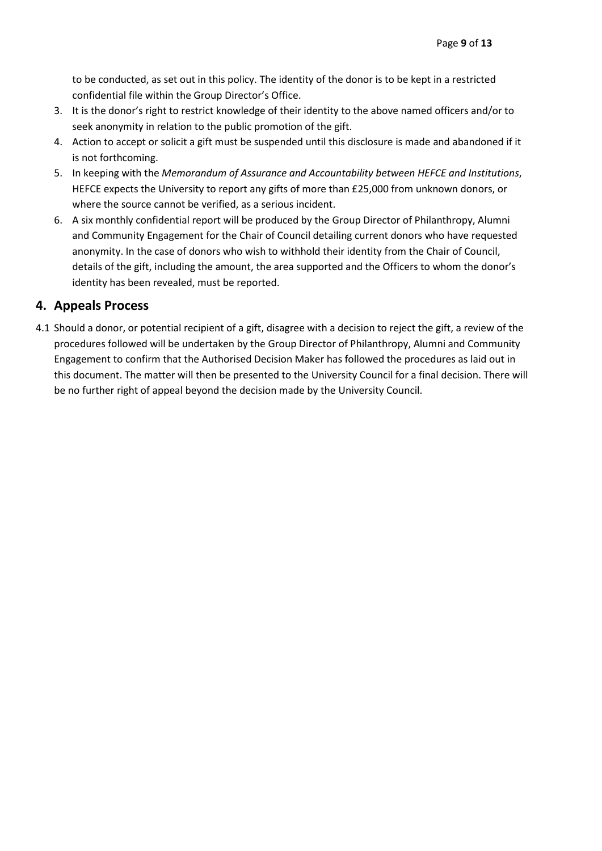to be conducted, as set out in this policy. The identity of the donor is to be kept in a restricted confidential file within the Group Director's Office.

- 3. It is the donor's right to restrict knowledge of their identity to the above named officers and/or to seek anonymity in relation to the public promotion of the gift.
- 4. Action to accept or solicit a gift must be suspended until this disclosure is made and abandoned if it is not forthcoming.
- 5. In keeping with the *Memorandum of Assurance and Accountability between HEFCE and Institutions*, HEFCE expects the University to report any gifts of more than £25,000 from unknown donors, or where the source cannot be verified, as a serious incident.
- 6. A six monthly confidential report will be produced by the Group Director of Philanthropy, Alumni and Community Engagement for the Chair of Council detailing current donors who have requested anonymity. In the case of donors who wish to withhold their identity from the Chair of Council, details of the gift, including the amount, the area supported and the Officers to whom the donor's identity has been revealed, must be reported.

## <span id="page-9-0"></span>**4. Appeals Process**

4.1 Should a donor, or potential recipient of a gift, disagree with a decision to reject the gift, a review of the procedures followed will be undertaken by the Group Director of Philanthropy, Alumni and Community Engagement to confirm that the Authorised Decision Maker has followed the procedures as laid out in this document. The matter will then be presented to the University Council for a final decision. There will be no further right of appeal beyond the decision made by the University Council.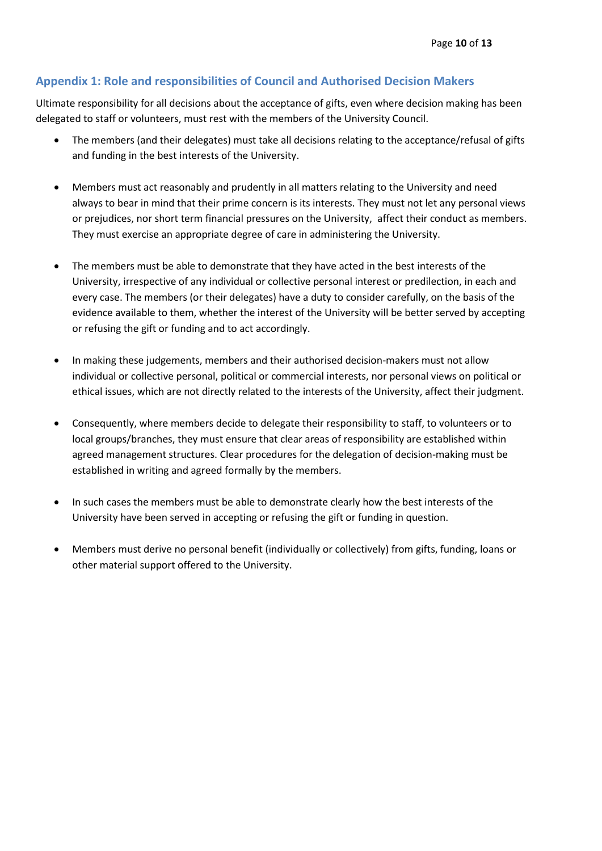## <span id="page-10-0"></span>**Appendix 1: Role and responsibilities of Council and Authorised Decision Makers**

Ultimate responsibility for all decisions about the acceptance of gifts, even where decision making has been delegated to staff or volunteers, must rest with the members of the University Council.

- The members (and their delegates) must take all decisions relating to the acceptance/refusal of gifts and funding in the best interests of the University.
- Members must act reasonably and prudently in all matters relating to the University and need always to bear in mind that their prime concern is its interests. They must not let any personal views or prejudices, nor short term financial pressures on the University, affect their conduct as members. They must exercise an appropriate degree of care in administering the University.
- The members must be able to demonstrate that they have acted in the best interests of the University, irrespective of any individual or collective personal interest or predilection, in each and every case. The members (or their delegates) have a duty to consider carefully, on the basis of the evidence available to them, whether the interest of the University will be better served by accepting or refusing the gift or funding and to act accordingly.
- In making these judgements, members and their authorised decision-makers must not allow individual or collective personal, political or commercial interests, nor personal views on political or ethical issues, which are not directly related to the interests of the University, affect their judgment.
- Consequently, where members decide to delegate their responsibility to staff, to volunteers or to local groups/branches, they must ensure that clear areas of responsibility are established within agreed management structures. Clear procedures for the delegation of decision-making must be established in writing and agreed formally by the members.
- In such cases the members must be able to demonstrate clearly how the best interests of the University have been served in accepting or refusing the gift or funding in question.
- Members must derive no personal benefit (individually or collectively) from gifts, funding, loans or other material support offered to the University.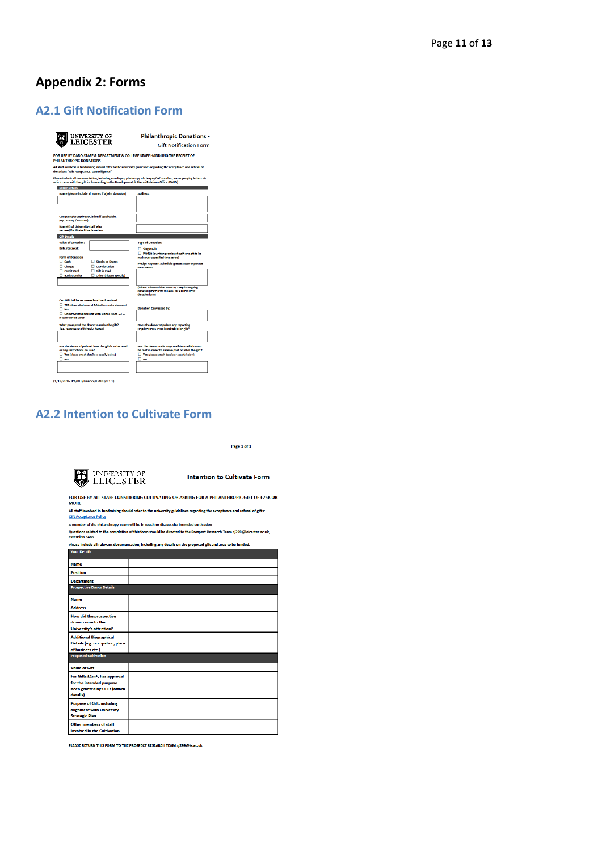## <span id="page-11-0"></span>**Appendix 2: Forms**

## <span id="page-11-1"></span>**A2.1 Gift Notification Form**

<span id="page-11-3"></span>

|                                                                                             | UNIVERSITY OF<br>LEICESTER                                  | <b>Philanthropic Donations -</b><br><b>Gift Notification Form</b>                                                                                                                                                 |
|---------------------------------------------------------------------------------------------|-------------------------------------------------------------|-------------------------------------------------------------------------------------------------------------------------------------------------------------------------------------------------------------------|
| PHILANTHROPIC DONATIONS                                                                     |                                                             | FOR USE BY DARO STAFF & DEPARTMENT & COLLEGE STAFF HANDLING THE RECEIPT OF                                                                                                                                        |
|                                                                                             |                                                             | All staff involved in fundraising should refer to the university guidelines regarding the acceptance and refusal of                                                                                               |
| donations "Gift Acceptance: Due Diligence"                                                  |                                                             |                                                                                                                                                                                                                   |
|                                                                                             |                                                             | Please include all documentation, including envelopes, photocopy of cheque/CAF voucher, accompanying letters etc.<br>which came with the gift for forwarding to the Development & Alumni Relations Office (DARO). |
| <b>Donor Details</b>                                                                        |                                                             |                                                                                                                                                                                                                   |
|                                                                                             | Name (please include all names if a joint donation)         | <b>Address:</b>                                                                                                                                                                                                   |
|                                                                                             |                                                             |                                                                                                                                                                                                                   |
|                                                                                             |                                                             |                                                                                                                                                                                                                   |
|                                                                                             |                                                             |                                                                                                                                                                                                                   |
| Company/Group/Association if applicable:<br>(e.g. Rotary / Masons)                          |                                                             |                                                                                                                                                                                                                   |
| <b>Name(s) of University staff who</b>                                                      |                                                             |                                                                                                                                                                                                                   |
| secured/facilitated the donation:                                                           |                                                             |                                                                                                                                                                                                                   |
| <b>Gift Details</b>                                                                         |                                                             |                                                                                                                                                                                                                   |
| <b>Value of Donation:</b>                                                                   |                                                             | <b>Type of Donation:</b>                                                                                                                                                                                          |
| Date received:                                                                              |                                                             | Single Gift                                                                                                                                                                                                       |
| <b>Form of Donation</b>                                                                     |                                                             | Pledge (a written promise of a gift or a gift to be<br>made over a specified time period)                                                                                                                         |
| $\Box$ Cash                                                                                 | Stocks or Shares                                            | Pledge Payment Schedule (please attach or provide                                                                                                                                                                 |
| $\Box$ cheque<br>Credit Card                                                                | $\Box$ CAF donation<br>$\Box$ Gift in Kind                  | detail below)                                                                                                                                                                                                     |
| <b>Bank transfer</b>                                                                        | Other (Please Specify)                                      |                                                                                                                                                                                                                   |
|                                                                                             |                                                             |                                                                                                                                                                                                                   |
|                                                                                             |                                                             | (Where a donor wishes to set up a regular ongoing<br>donation please refer to DARO for a Direct Debit<br>donation form)                                                                                           |
| Can Gift Aid be recovered on the donation?                                                  |                                                             |                                                                                                                                                                                                                   |
| $\Box$ No                                                                                   | Yes (please attach original Gift Aid form, not a photocopy) | <b>Donation Canvassed by:</b>                                                                                                                                                                                     |
| in touch with the Donor!                                                                    | Unsure/Not discussed with Donor (DARO will be               |                                                                                                                                                                                                                   |
| What prompted the donor to make the gift?<br>(e.g. response to a University Appeal)         |                                                             | Does the donor stipulate any reporting<br>requirements associated with the gift?                                                                                                                                  |
| or any restrictions on use?<br>Yes (please attach details or specify below)<br>$\square$ No | Has the donor stipulated how the gift is to be used         | Has the donor made any conditions which must<br>be met in order to receive part or all of the gift?<br>Yes (please attach details or specify below)<br>$\square$ No                                               |
|                                                                                             |                                                             |                                                                                                                                                                                                                   |

## <span id="page-11-2"></span>**A2.2 Intention to Cultivate Form**

Page 1 of 1



**Intention to Cultivate Form** 

FOR USE BY ALL STAFF CONSIDERING CULTIVATING OR ASKING FOR A PHILANTHROPIC GIFT OF £25K OR<br>MORE

Hotel.<br>All staff involved in fundraising should refer to the university guidelines regarding the acceptance and refusal of gifts:<br>Gift Acceptance Policy

A member of the Philanthropy Team will be in touch to discuss the intended cultivation<br>Questions related to the completion of this form should be directed to the Prospect Research Team sj299@leicester.ac.uk,<br>extension 3466

|                                                                                                      | Please include all relevant documentation, including any details on the proposed gift and area to be funded. |
|------------------------------------------------------------------------------------------------------|--------------------------------------------------------------------------------------------------------------|
| <b>Your Details</b>                                                                                  |                                                                                                              |
| <b>Name</b>                                                                                          |                                                                                                              |
| <b>Position</b>                                                                                      |                                                                                                              |
| <b>Department</b>                                                                                    |                                                                                                              |
| <b>Prospective Donor Details</b>                                                                     |                                                                                                              |
| <b>Name</b>                                                                                          |                                                                                                              |
| <b>Address</b>                                                                                       |                                                                                                              |
| <b>How did the prospective</b><br>donor come to the<br><b>University's attention?</b>                |                                                                                                              |
| <b>Additional Biographical</b><br>Details (e.g. occupation, place<br>of business etc.)               |                                                                                                              |
| <b>Proposed Cultivation</b>                                                                          |                                                                                                              |
| <b>Value of Gift</b>                                                                                 |                                                                                                              |
| For Gifts £1m+, has approval<br>for the intended purpose<br>been granted by ULT? (attach<br>details) |                                                                                                              |
| <b>Purpose of Gift, including</b><br>alignment with University<br><b>Strategic Plan</b>              |                                                                                                              |
| <b>Other members of staff</b><br>involved in the Cultivation                                         |                                                                                                              |

PLEASE RETURN THIS FORM TO THE PROSPECT RESEARCH TEAM sj299@le.ac.uk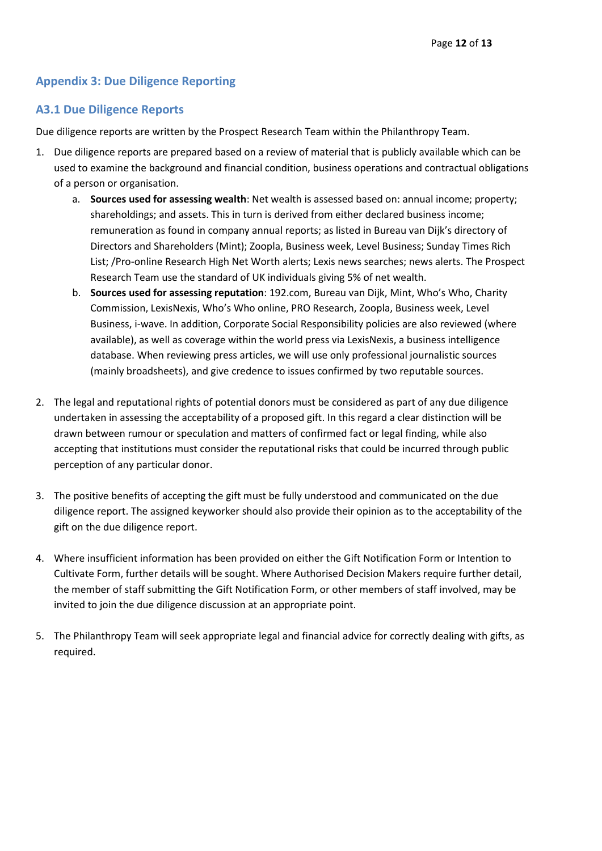## <span id="page-12-0"></span>**Appendix 3: Due Diligence Reporting**

#### <span id="page-12-1"></span>**A3.1 Due Diligence Reports**

Due diligence reports are written by the Prospect Research Team within the Philanthropy Team.

- 1. Due diligence reports are prepared based on a review of material that is publicly available which can be used to examine the background and financial condition, business operations and contractual obligations of a person or organisation.
	- a. **Sources used for assessing wealth**: Net wealth is assessed based on: annual income; property; shareholdings; and assets. This in turn is derived from either declared business income; remuneration as found in company annual reports; as listed in Bureau van Dijk's directory of Directors and Shareholders (Mint); Zoopla, Business week, Level Business; Sunday Times Rich List; /Pro-online Research High Net Worth alerts; Lexis news searches; news alerts. The Prospect Research Team use the standard of UK individuals giving 5% of net wealth.
	- b. **Sources used for assessing reputation**: 192.com, Bureau van Dijk, Mint, Who's Who, Charity Commission, LexisNexis, Who's Who online, PRO Research, Zoopla, Business week, Level Business, i-wave. In addition, Corporate Social Responsibility policies are also reviewed (where available), as well as coverage within the world press via LexisNexis, a business intelligence database. When reviewing press articles, we will use only professional journalistic sources (mainly broadsheets), and give credence to issues confirmed by two reputable sources.
- 2. The legal and reputational rights of potential donors must be considered as part of any due diligence undertaken in assessing the acceptability of a proposed gift. In this regard a clear distinction will be drawn between rumour or speculation and matters of confirmed fact or legal finding, while also accepting that institutions must consider the reputational risks that could be incurred through public perception of any particular donor.
- 3. The positive benefits of accepting the gift must be fully understood and communicated on the due diligence report. The assigned keyworker should also provide their opinion as to the acceptability of the gift on the due diligence report.
- 4. Where insufficient information has been provided on either the Gift Notification Form or Intention to Cultivate Form, further details will be sought. Where Authorised Decision Makers require further detail, the member of staff submitting the Gift Notification Form, or other members of staff involved, may be invited to join the due diligence discussion at an appropriate point.
- 5. The Philanthropy Team will seek appropriate legal and financial advice for correctly dealing with gifts, as required.